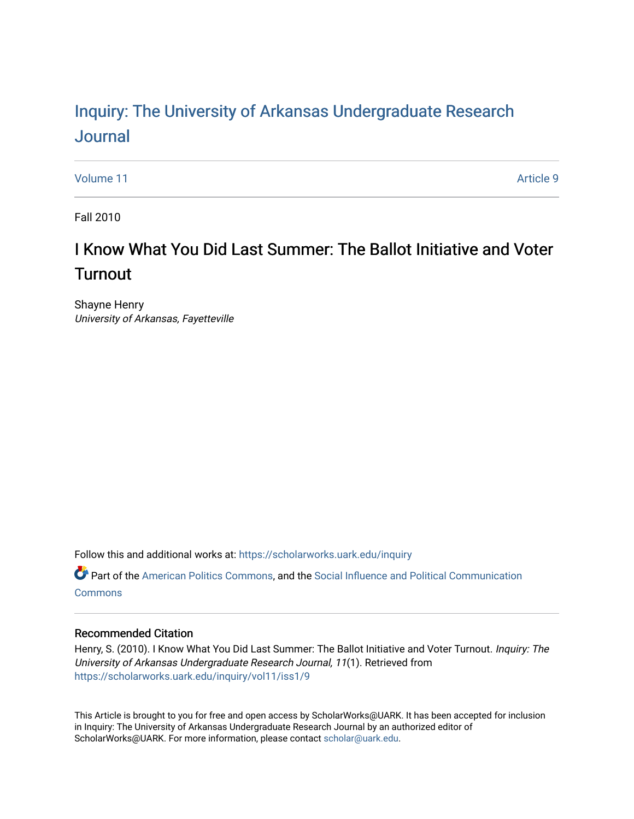# Inquiry: The Univ[ersity of Arkansas Undergraduate Resear](https://scholarworks.uark.edu/inquiry)ch [Journal](https://scholarworks.uark.edu/inquiry)

[Volume 11](https://scholarworks.uark.edu/inquiry/vol11) Article 9

Fall 2010

# I Know What You Did Last Summer: The Ballot Initiative and Voter **Turnout**

Shayne Henry University of Arkansas, Fayetteville

Follow this and additional works at: [https://scholarworks.uark.edu/inquiry](https://scholarworks.uark.edu/inquiry?utm_source=scholarworks.uark.edu%2Finquiry%2Fvol11%2Fiss1%2F9&utm_medium=PDF&utm_campaign=PDFCoverPages)

Part of the [American Politics Commons,](http://network.bepress.com/hgg/discipline/387?utm_source=scholarworks.uark.edu%2Finquiry%2Fvol11%2Fiss1%2F9&utm_medium=PDF&utm_campaign=PDFCoverPages) and the [Social Influence and Political Communication](http://network.bepress.com/hgg/discipline/337?utm_source=scholarworks.uark.edu%2Finquiry%2Fvol11%2Fiss1%2F9&utm_medium=PDF&utm_campaign=PDFCoverPages)  **[Commons](http://network.bepress.com/hgg/discipline/337?utm_source=scholarworks.uark.edu%2Finquiry%2Fvol11%2Fiss1%2F9&utm_medium=PDF&utm_campaign=PDFCoverPages)** 

# Recommended Citation

Henry, S. (2010). I Know What You Did Last Summer: The Ballot Initiative and Voter Turnout. Inquiry: The University of Arkansas Undergraduate Research Journal, 11(1). Retrieved from [https://scholarworks.uark.edu/inquiry/vol11/iss1/9](https://scholarworks.uark.edu/inquiry/vol11/iss1/9?utm_source=scholarworks.uark.edu%2Finquiry%2Fvol11%2Fiss1%2F9&utm_medium=PDF&utm_campaign=PDFCoverPages) 

This Article is brought to you for free and open access by ScholarWorks@UARK. It has been accepted for inclusion in Inquiry: The University of Arkansas Undergraduate Research Journal by an authorized editor of ScholarWorks@UARK. For more information, please contact [scholar@uark.edu](mailto:scholar@uark.edu).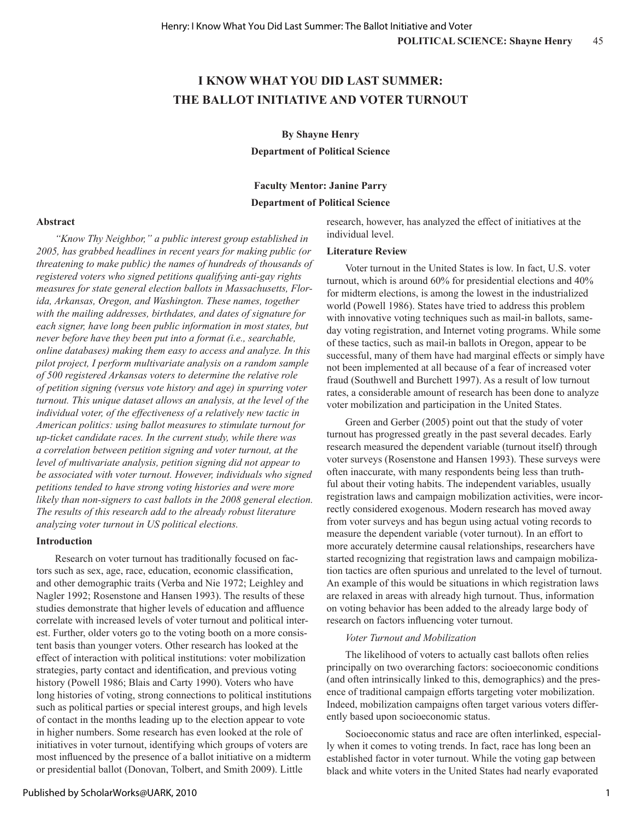# **I KNOW WHAT YOU DID LAST SUMMER: THE BALLOT INITIATIVE AND VOTER TURNOUT**

**By Shayne Henry**

**Department of Political Science**

# **Faculty Mentor: Janine Parry**

# **Department of Political Science**

**Abstract**

*"Know Thy Neighbor," a public interest group established in 2005, has grabbed headlines in recent years for making public (or threatening to make public) the names of hundreds of thousands of registered voters who signed petitions qualifying anti-gay rights measures for state general election ballots in Massachusetts, Florida, Arkansas, Oregon, and Washington. These names, together with the mailing addresses, birthdates, and dates of signature for each signer, have long been public information in most states, but never before have they been put into a format (i.e., searchable, online databases) making them easy to access and analyze. In this pilot project, I perform multivariate analysis on a random sample of 500 registered Arkansas voters to determine the relative role of petition signing (versus vote history and age) in spurring voter turnout. This unique dataset allows an analysis, at the level of the individual voter, of the effectiveness of a relatively new tactic in American politics: using ballot measures to stimulate turnout for up-ticket candidate races. In the current study, while there was a correlation between petition signing and voter turnout, at the level of multivariate analysis, petition signing did not appear to be associated with voter turnout. However, individuals who signed petitions tended to have strong voting histories and were more likely than non-signers to cast ballots in the 2008 general election. The results of this research add to the already robust literature analyzing voter turnout in US political elections.* 

#### **Introduction**

Research on voter turnout has traditionally focused on factors such as sex, age, race, education, economic classification, and other demographic traits (Verba and Nie 1972; Leighley and Nagler 1992; Rosenstone and Hansen 1993). The results of these studies demonstrate that higher levels of education and affluence correlate with increased levels of voter turnout and political interest. Further, older voters go to the voting booth on a more consistent basis than younger voters. Other research has looked at the effect of interaction with political institutions: voter mobilization strategies, party contact and identification, and previous voting history (Powell 1986; Blais and Carty 1990). Voters who have long histories of voting, strong connections to political institutions such as political parties or special interest groups, and high levels of contact in the months leading up to the election appear to vote in higher numbers. Some research has even looked at the role of initiatives in voter turnout, identifying which groups of voters are most influenced by the presence of a ballot initiative on a midterm or presidential ballot (Donovan, Tolbert, and Smith 2009). Little

research, however, has analyzed the effect of initiatives at the individual level.

#### **Literature Review**

Voter turnout in the United States is low. In fact, U.S. voter turnout, which is around 60% for presidential elections and 40% for midterm elections, is among the lowest in the industrialized world (Powell 1986). States have tried to address this problem with innovative voting techniques such as mail-in ballots, sameday voting registration, and Internet voting programs. While some of these tactics, such as mail-in ballots in Oregon, appear to be successful, many of them have had marginal effects or simply have not been implemented at all because of a fear of increased voter fraud (Southwell and Burchett 1997). As a result of low turnout rates, a considerable amount of research has been done to analyze voter mobilization and participation in the United States.

Green and Gerber (2005) point out that the study of voter turnout has progressed greatly in the past several decades. Early research measured the dependent variable (turnout itself) through voter surveys (Rosenstone and Hansen 1993). These surveys were often inaccurate, with many respondents being less than truthful about their voting habits. The independent variables, usually registration laws and campaign mobilization activities, were incorrectly considered exogenous. Modern research has moved away from voter surveys and has begun using actual voting records to measure the dependent variable (voter turnout). In an effort to more accurately determine causal relationships, researchers have started recognizing that registration laws and campaign mobilization tactics are often spurious and unrelated to the level of turnout. An example of this would be situations in which registration laws are relaxed in areas with already high turnout. Thus, information on voting behavior has been added to the already large body of research on factors influencing voter turnout.

## *Voter Turnout and Mobilization*

The likelihood of voters to actually cast ballots often relies principally on two overarching factors: socioeconomic conditions (and often intrinsically linked to this, demographics) and the presence of traditional campaign efforts targeting voter mobilization. Indeed, mobilization campaigns often target various voters differently based upon socioeconomic status.

Socioeconomic status and race are often interlinked, especially when it comes to voting trends. In fact, race has long been an established factor in voter turnout. While the voting gap between black and white voters in the United States had nearly evaporated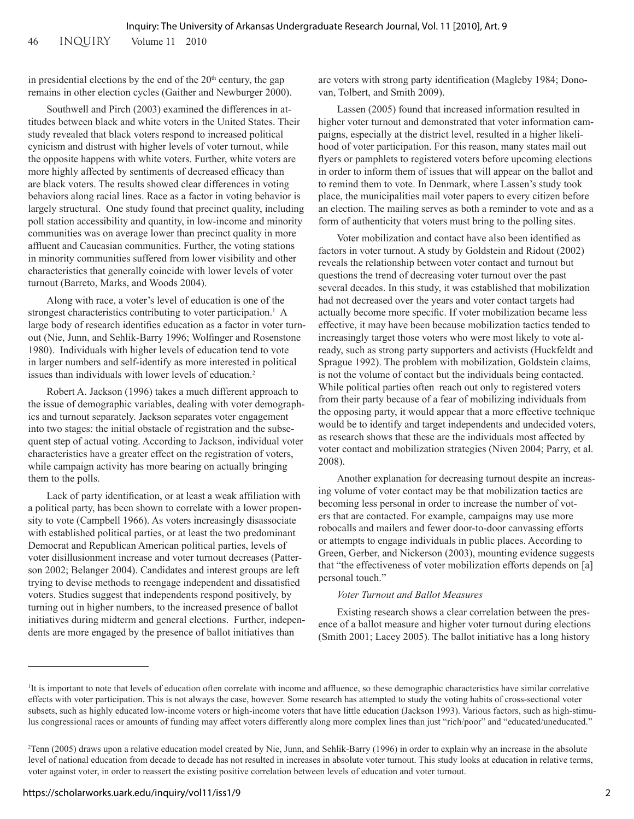# in presidential elections by the end of the  $20<sup>th</sup>$  century, the gap remains in other election cycles (Gaither and Newburger 2000).

Southwell and Pirch (2003) examined the differences in attitudes between black and white voters in the United States. Their study revealed that black voters respond to increased political cynicism and distrust with higher levels of voter turnout, while the opposite happens with white voters. Further, white voters are more highly affected by sentiments of decreased efficacy than are black voters. The results showed clear differences in voting behaviors along racial lines. Race as a factor in voting behavior is largely structural. One study found that precinct quality, including poll station accessibility and quantity, in low-income and minority communities was on average lower than precinct quality in more affluent and Caucasian communities. Further, the voting stations in minority communities suffered from lower visibility and other characteristics that generally coincide with lower levels of voter turnout (Barreto, Marks, and Woods 2004).

Along with race, a voter's level of education is one of the strongest characteristics contributing to voter participation.<sup>1</sup> A large body of research identifies education as a factor in voter turnout (Nie, Junn, and Sehlik-Barry 1996; Wolfinger and Rosenstone 1980). Individuals with higher levels of education tend to vote in larger numbers and self-identify as more interested in political issues than individuals with lower levels of education.<sup>2</sup>

Robert A. Jackson (1996) takes a much different approach to the issue of demographic variables, dealing with voter demographics and turnout separately. Jackson separates voter engagement into two stages: the initial obstacle of registration and the subsequent step of actual voting. According to Jackson, individual voter characteristics have a greater effect on the registration of voters, while campaign activity has more bearing on actually bringing them to the polls.

Lack of party identification, or at least a weak affiliation with a political party, has been shown to correlate with a lower propensity to vote (Campbell 1966). As voters increasingly disassociate with established political parties, or at least the two predominant Democrat and Republican American political parties, levels of voter disillusionment increase and voter turnout decreases (Patterson 2002; Belanger 2004). Candidates and interest groups are left trying to devise methods to reengage independent and dissatisfied voters. Studies suggest that independents respond positively, by turning out in higher numbers, to the increased presence of ballot initiatives during midterm and general elections. Further, independents are more engaged by the presence of ballot initiatives than

are voters with strong party identification (Magleby 1984; Donovan, Tolbert, and Smith 2009).

Lassen (2005) found that increased information resulted in higher voter turnout and demonstrated that voter information campaigns, especially at the district level, resulted in a higher likelihood of voter participation. For this reason, many states mail out flyers or pamphlets to registered voters before upcoming elections in order to inform them of issues that will appear on the ballot and to remind them to vote. In Denmark, where Lassen's study took place, the municipalities mail voter papers to every citizen before an election. The mailing serves as both a reminder to vote and as a form of authenticity that voters must bring to the polling sites.

Voter mobilization and contact have also been identified as factors in voter turnout. A study by Goldstein and Ridout (2002) reveals the relationship between voter contact and turnout but questions the trend of decreasing voter turnout over the past several decades. In this study, it was established that mobilization had not decreased over the years and voter contact targets had actually become more specific. If voter mobilization became less effective, it may have been because mobilization tactics tended to increasingly target those voters who were most likely to vote already, such as strong party supporters and activists (Huckfeldt and Sprague 1992). The problem with mobilization, Goldstein claims, is not the volume of contact but the individuals being contacted. While political parties often reach out only to registered voters from their party because of a fear of mobilizing individuals from the opposing party, it would appear that a more effective technique would be to identify and target independents and undecided voters, as research shows that these are the individuals most affected by voter contact and mobilization strategies (Niven 2004; Parry, et al. 2008).

Another explanation for decreasing turnout despite an increasing volume of voter contact may be that mobilization tactics are becoming less personal in order to increase the number of voters that are contacted. For example, campaigns may use more robocalls and mailers and fewer door-to-door canvassing efforts or attempts to engage individuals in public places. According to Green, Gerber, and Nickerson (2003), mounting evidence suggests that "the effectiveness of voter mobilization efforts depends on [a] personal touch."

## *Voter Turnout and Ballot Measures*

Existing research shows a clear correlation between the presence of a ballot measure and higher voter turnout during elections (Smith 2001; Lacey 2005). The ballot initiative has a long history

<sup>1</sup> It is important to note that levels of education often correlate with income and affluence, so these demographic characteristics have similar correlative effects with voter participation. This is not always the case, however. Some research has attempted to study the voting habits of cross-sectional voter subsets, such as highly educated low-income voters or high-income voters that have little education (Jackson 1993). Various factors, such as high-stimulus congressional races or amounts of funding may affect voters differently along more complex lines than just "rich/poor" and "educated/uneducated."

<sup>2</sup> Tenn (2005) draws upon a relative education model created by Nie, Junn, and Sehlik-Barry (1996) in order to explain why an increase in the absolute level of national education from decade to decade has not resulted in increases in absolute voter turnout. This study looks at education in relative terms, voter against voter, in order to reassert the existing positive correlation between levels of education and voter turnout.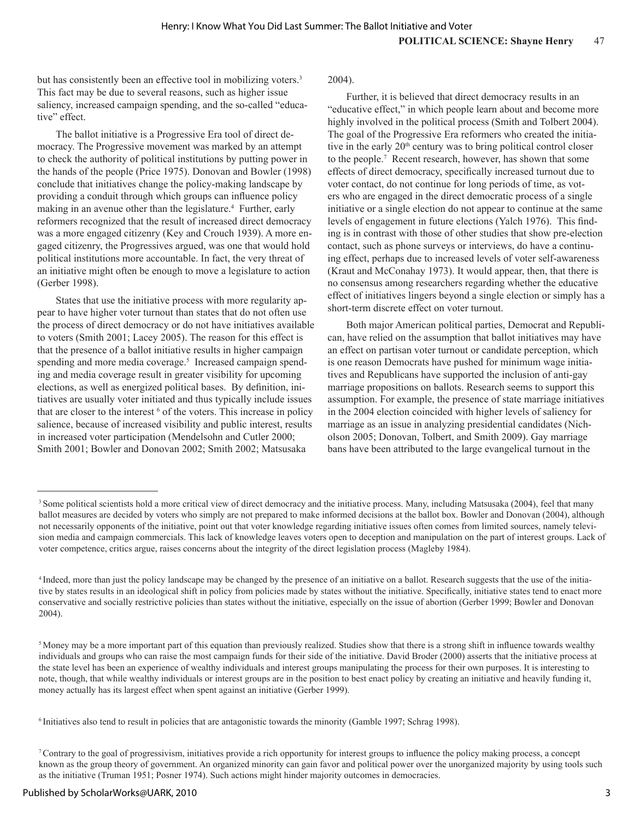but has consistently been an effective tool in mobilizing voters.<sup>3</sup> This fact may be due to several reasons, such as higher issue saliency, increased campaign spending, and the so-called "educative" effect.

The ballot initiative is a Progressive Era tool of direct democracy. The Progressive movement was marked by an attempt to check the authority of political institutions by putting power in the hands of the people (Price 1975). Donovan and Bowler (1998) conclude that initiatives change the policy-making landscape by providing a conduit through which groups can influence policy making in an avenue other than the legislature.<sup>4</sup> Further, early reformers recognized that the result of increased direct democracy was a more engaged citizenry (Key and Crouch 1939). A more engaged citizenry, the Progressives argued, was one that would hold political institutions more accountable. In fact, the very threat of an initiative might often be enough to move a legislature to action (Gerber 1998).

States that use the initiative process with more regularity appear to have higher voter turnout than states that do not often use the process of direct democracy or do not have initiatives available to voters (Smith 2001; Lacey 2005). The reason for this effect is that the presence of a ballot initiative results in higher campaign spending and more media coverage.<sup>5</sup> Increased campaign spending and media coverage result in greater visibility for upcoming elections, as well as energized political bases. By definition, initiatives are usually voter initiated and thus typically include issues that are closer to the interest  $6$  of the voters. This increase in policy salience, because of increased visibility and public interest, results in increased voter participation (Mendelsohn and Cutler 2000; Smith 2001; Bowler and Donovan 2002; Smith 2002; Matsusaka

2004).

Further, it is believed that direct democracy results in an "educative effect," in which people learn about and become more highly involved in the political process (Smith and Tolbert 2004). The goal of the Progressive Era reformers who created the initiative in the early  $20<sup>th</sup>$  century was to bring political control closer to the people.7 Recent research, however, has shown that some effects of direct democracy, specifically increased turnout due to voter contact, do not continue for long periods of time, as voters who are engaged in the direct democratic process of a single initiative or a single election do not appear to continue at the same levels of engagement in future elections (Yalch 1976). This finding is in contrast with those of other studies that show pre-election contact, such as phone surveys or interviews, do have a continuing effect, perhaps due to increased levels of voter self-awareness (Kraut and McConahay 1973). It would appear, then, that there is no consensus among researchers regarding whether the educative effect of initiatives lingers beyond a single election or simply has a short-term discrete effect on voter turnout.

Both major American political parties, Democrat and Republican, have relied on the assumption that ballot initiatives may have an effect on partisan voter turnout or candidate perception, which is one reason Democrats have pushed for minimum wage initiatives and Republicans have supported the inclusion of anti-gay marriage propositions on ballots. Research seems to support this assumption. For example, the presence of state marriage initiatives in the 2004 election coincided with higher levels of saliency for marriage as an issue in analyzing presidential candidates (Nicholson 2005; Donovan, Tolbert, and Smith 2009). Gay marriage bans have been attributed to the large evangelical turnout in the

<sup>&</sup>lt;sup>3</sup> Some political scientists hold a more critical view of direct democracy and the initiative process. Many, including Matsusaka (2004), feel that many ballot measures are decided by voters who simply are not prepared to make informed decisions at the ballot box. Bowler and Donovan (2004), although not necessarily opponents of the initiative, point out that voter knowledge regarding initiative issues often comes from limited sources, namely television media and campaign commercials. This lack of knowledge leaves voters open to deception and manipulation on the part of interest groups. Lack of voter competence, critics argue, raises concerns about the integrity of the direct legislation process (Magleby 1984).

<sup>4</sup> Indeed, more than just the policy landscape may be changed by the presence of an initiative on a ballot. Research suggests that the use of the initiative by states results in an ideological shift in policy from policies made by states without the initiative. Specifically, initiative states tend to enact more conservative and socially restrictive policies than states without the initiative, especially on the issue of abortion (Gerber 1999; Bowler and Donovan 2004).

<sup>&</sup>lt;sup>5</sup> Money may be a more important part of this equation than previously realized. Studies show that there is a strong shift in influence towards wealthy individuals and groups who can raise the most campaign funds for their side of the initiative. David Broder (2000) asserts that the initiative process at the state level has been an experience of wealthy individuals and interest groups manipulating the process for their own purposes. It is interesting to note, though, that while wealthy individuals or interest groups are in the position to best enact policy by creating an initiative and heavily funding it, money actually has its largest effect when spent against an initiative (Gerber 1999).

<sup>6</sup> Initiatives also tend to result in policies that are antagonistic towards the minority (Gamble 1997; Schrag 1998).

<sup>7</sup>Contrary to the goal of progressivism, initiatives provide a rich opportunity for interest groups to influence the policy making process, a concept known as the group theory of government. An organized minority can gain favor and political power over the unorganized majority by using tools such as the initiative (Truman 1951; Posner 1974). Such actions might hinder majority outcomes in democracies.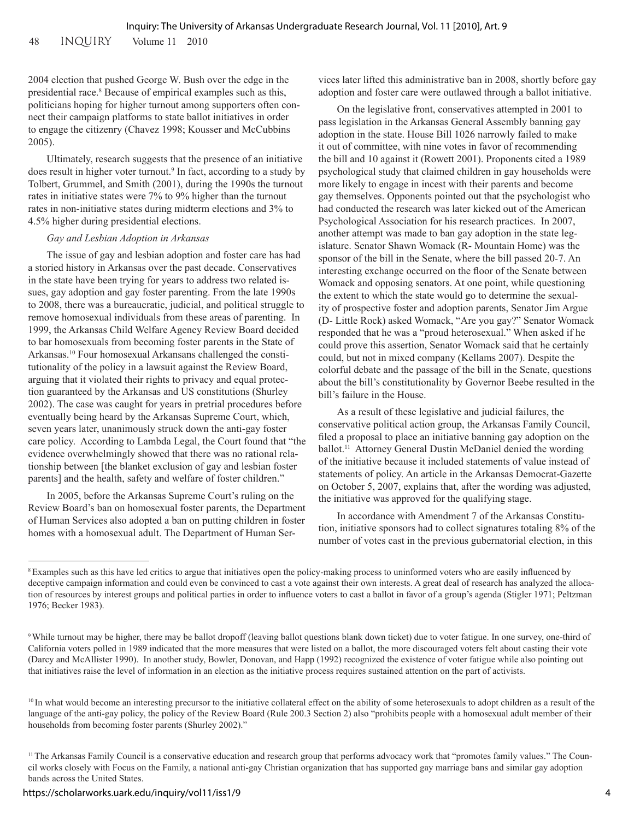2004 election that pushed George W. Bush over the edge in the presidential race.<sup>8</sup> Because of empirical examples such as this, politicians hoping for higher turnout among supporters often connect their campaign platforms to state ballot initiatives in order to engage the citizenry (Chavez 1998; Kousser and McCubbins 2005).

Ultimately, research suggests that the presence of an initiative does result in higher voter turnout.<sup>9</sup> In fact, according to a study by Tolbert, Grummel, and Smith (2001), during the 1990s the turnout rates in initiative states were 7% to 9% higher than the turnout rates in non-initiative states during midterm elections and 3% to 4.5% higher during presidential elections.

#### *Gay and Lesbian Adoption in Arkansas*

The issue of gay and lesbian adoption and foster care has had a storied history in Arkansas over the past decade. Conservatives in the state have been trying for years to address two related issues, gay adoption and gay foster parenting. From the late 1990s to 2008, there was a bureaucratic, judicial, and political struggle to remove homosexual individuals from these areas of parenting. In 1999, the Arkansas Child Welfare Agency Review Board decided to bar homosexuals from becoming foster parents in the State of Arkansas.10 Four homosexual Arkansans challenged the constitutionality of the policy in a lawsuit against the Review Board, arguing that it violated their rights to privacy and equal protection guaranteed by the Arkansas and US constitutions (Shurley 2002). The case was caught for years in pretrial procedures before eventually being heard by the Arkansas Supreme Court, which, seven years later, unanimously struck down the anti-gay foster care policy. According to Lambda Legal, the Court found that "the evidence overwhelmingly showed that there was no rational relationship between [the blanket exclusion of gay and lesbian foster parents] and the health, safety and welfare of foster children."

In 2005, before the Arkansas Supreme Court's ruling on the Review Board's ban on homosexual foster parents, the Department of Human Services also adopted a ban on putting children in foster homes with a homosexual adult. The Department of Human Services later lifted this administrative ban in 2008, shortly before gay adoption and foster care were outlawed through a ballot initiative.

On the legislative front, conservatives attempted in 2001 to pass legislation in the Arkansas General Assembly banning gay adoption in the state. House Bill 1026 narrowly failed to make it out of committee, with nine votes in favor of recommending the bill and 10 against it (Rowett 2001). Proponents cited a 1989 psychological study that claimed children in gay households were more likely to engage in incest with their parents and become gay themselves. Opponents pointed out that the psychologist who had conducted the research was later kicked out of the American Psychological Association for his research practices. In 2007, another attempt was made to ban gay adoption in the state legislature. Senator Shawn Womack (R- Mountain Home) was the sponsor of the bill in the Senate, where the bill passed 20-7. An interesting exchange occurred on the floor of the Senate between Womack and opposing senators. At one point, while questioning the extent to which the state would go to determine the sexuality of prospective foster and adoption parents, Senator Jim Argue (D- Little Rock) asked Womack, "Are you gay?" Senator Womack responded that he was a "proud heterosexual." When asked if he could prove this assertion, Senator Womack said that he certainly could, but not in mixed company (Kellams 2007). Despite the colorful debate and the passage of the bill in the Senate, questions about the bill's constitutionality by Governor Beebe resulted in the bill's failure in the House.

As a result of these legislative and judicial failures, the conservative political action group, the Arkansas Family Council, filed a proposal to place an initiative banning gay adoption on the ballot.<sup>11</sup> Attorney General Dustin McDaniel denied the wording of the initiative because it included statements of value instead of statements of policy. An article in the Arkansas Democrat-Gazette on October 5, 2007, explains that, after the wording was adjusted, the initiative was approved for the qualifying stage.

In accordance with Amendment 7 of the Arkansas Constitution, initiative sponsors had to collect signatures totaling 8% of the number of votes cast in the previous gubernatorial election, in this

<sup>8</sup>Examples such as this have led critics to argue that initiatives open the policy-making process to uninformed voters who are easily influenced by deceptive campaign information and could even be convinced to cast a vote against their own interests. A great deal of research has analyzed the allocation of resources by interest groups and political parties in order to influence voters to cast a ballot in favor of a group's agenda (Stigler 1971; Peltzman 1976; Becker 1983).

<sup>9</sup> While turnout may be higher, there may be ballot dropoff (leaving ballot questions blank down ticket) due to voter fatigue. In one survey, one-third of California voters polled in 1989 indicated that the more measures that were listed on a ballot, the more discouraged voters felt about casting their vote (Darcy and McAllister 1990). In another study, Bowler, Donovan, and Happ (1992) recognized the existence of voter fatigue while also pointing out that initiatives raise the level of information in an election as the initiative process requires sustained attention on the part of activists.

<sup>&</sup>lt;sup>10</sup> In what would become an interesting precursor to the initiative collateral effect on the ability of some heterosexuals to adopt children as a result of the language of the anti-gay policy, the policy of the Review Board (Rule 200.3 Section 2) also "prohibits people with a homosexual adult member of their households from becoming foster parents (Shurley 2002)."

<sup>&</sup>lt;sup>11</sup> The Arkansas Family Council is a conservative education and research group that performs advocacy work that "promotes family values." The Council works closely with Focus on the Family, a national anti-gay Christian organization that has supported gay marriage bans and similar gay adoption bands across the United States.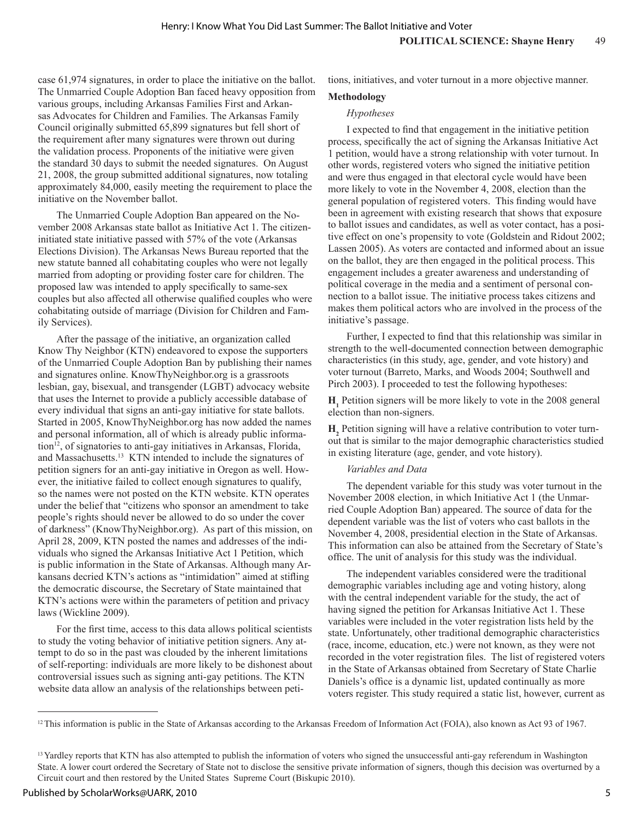case 61,974 signatures, in order to place the initiative on the ballot. The Unmarried Couple Adoption Ban faced heavy opposition from various groups, including Arkansas Families First and Arkansas Advocates for Children and Families. The Arkansas Family Council originally submitted 65,899 signatures but fell short of the requirement after many signatures were thrown out during the validation process. Proponents of the initiative were given the standard 30 days to submit the needed signatures. On August 21, 2008, the group submitted additional signatures, now totaling approximately 84,000, easily meeting the requirement to place the initiative on the November ballot.

The Unmarried Couple Adoption Ban appeared on the November 2008 Arkansas state ballot as Initiative Act 1. The citizeninitiated state initiative passed with 57% of the vote (Arkansas Elections Division). The Arkansas News Bureau reported that the new statute banned all cohabitating couples who were not legally married from adopting or providing foster care for children. The proposed law was intended to apply specifically to same-sex couples but also affected all otherwise qualified couples who were cohabitating outside of marriage (Division for Children and Family Services).

After the passage of the initiative, an organization called Know Thy Neighbor (KTN) endeavored to expose the supporters of the Unmarried Couple Adoption Ban by publishing their names and signatures online. KnowThyNeighbor.org is a grassroots lesbian, gay, bisexual, and transgender (LGBT) advocacy website that uses the Internet to provide a publicly accessible database of every individual that signs an anti-gay initiative for state ballots. Started in 2005, KnowThyNeighbor.org has now added the names and personal information, all of which is already public information<sup>12</sup>, of signatories to anti-gay initiatives in Arkansas, Florida, and Massachusetts.<sup>13</sup> KTN intended to include the signatures of petition signers for an anti-gay initiative in Oregon as well. However, the initiative failed to collect enough signatures to qualify, so the names were not posted on the KTN website. KTN operates under the belief that "citizens who sponsor an amendment to take people's rights should never be allowed to do so under the cover of darkness" (KnowThyNeighbor.org). As part of this mission, on April 28, 2009, KTN posted the names and addresses of the individuals who signed the Arkansas Initiative Act 1 Petition, which is public information in the State of Arkansas. Although many Arkansans decried KTN's actions as "intimidation" aimed at stifling the democratic discourse, the Secretary of State maintained that KTN's actions were within the parameters of petition and privacy laws (Wickline 2009).

For the first time, access to this data allows political scientists to study the voting behavior of initiative petition signers. Any attempt to do so in the past was clouded by the inherent limitations of self-reporting: individuals are more likely to be dishonest about controversial issues such as signing anti-gay petitions. The KTN website data allow an analysis of the relationships between petitions, initiatives, and voter turnout in a more objective manner.

# **Methodology**

## *Hypotheses*

I expected to find that engagement in the initiative petition process, specifically the act of signing the Arkansas Initiative Act 1 petition, would have a strong relationship with voter turnout. In other words, registered voters who signed the initiative petition and were thus engaged in that electoral cycle would have been more likely to vote in the November 4, 2008, election than the general population of registered voters. This finding would have been in agreement with existing research that shows that exposure to ballot issues and candidates, as well as voter contact, has a positive effect on one's propensity to vote (Goldstein and Ridout 2002; Lassen 2005). As voters are contacted and informed about an issue on the ballot, they are then engaged in the political process. This engagement includes a greater awareness and understanding of political coverage in the media and a sentiment of personal connection to a ballot issue. The initiative process takes citizens and makes them political actors who are involved in the process of the initiative's passage.

Further, I expected to find that this relationship was similar in strength to the well-documented connection between demographic characteristics (in this study, age, gender, and vote history) and voter turnout (Barreto, Marks, and Woods 2004; Southwell and Pirch 2003). I proceeded to test the following hypotheses:

 $H<sub>1</sub>$  Petition signers will be more likely to vote in the 2008 general election than non-signers.

**H**<sub>2</sub> Petition signing will have a relative contribution to voter turnout that is similar to the major demographic characteristics studied in existing literature (age, gender, and vote history).

## *Variables and Data*

The dependent variable for this study was voter turnout in the November 2008 election, in which Initiative Act 1 (the Unmarried Couple Adoption Ban) appeared. The source of data for the dependent variable was the list of voters who cast ballots in the November 4, 2008, presidential election in the State of Arkansas. This information can also be attained from the Secretary of State's office. The unit of analysis for this study was the individual.

The independent variables considered were the traditional demographic variables including age and voting history, along with the central independent variable for the study, the act of having signed the petition for Arkansas Initiative Act 1. These variables were included in the voter registration lists held by the state. Unfortunately, other traditional demographic characteristics (race, income, education, etc.) were not known, as they were not recorded in the voter registration files. The list of registered voters in the State of Arkansas obtained from Secretary of State Charlie Daniels's office is a dynamic list, updated continually as more voters register. This study required a static list, however, current as

<sup>&</sup>lt;sup>12</sup> This information is public in the State of Arkansas according to the Arkansas Freedom of Information Act (FOIA), also known as Act 93 of 1967.

<sup>&</sup>lt;sup>13</sup> Yardley reports that KTN has also attempted to publish the information of voters who signed the unsuccessful anti-gay referendum in Washington State. A lower court ordered the Secretary of State not to disclose the sensitive private information of signers, though this decision was overturned by a Circuit court and then restored by the United States Supreme Court (Biskupic 2010).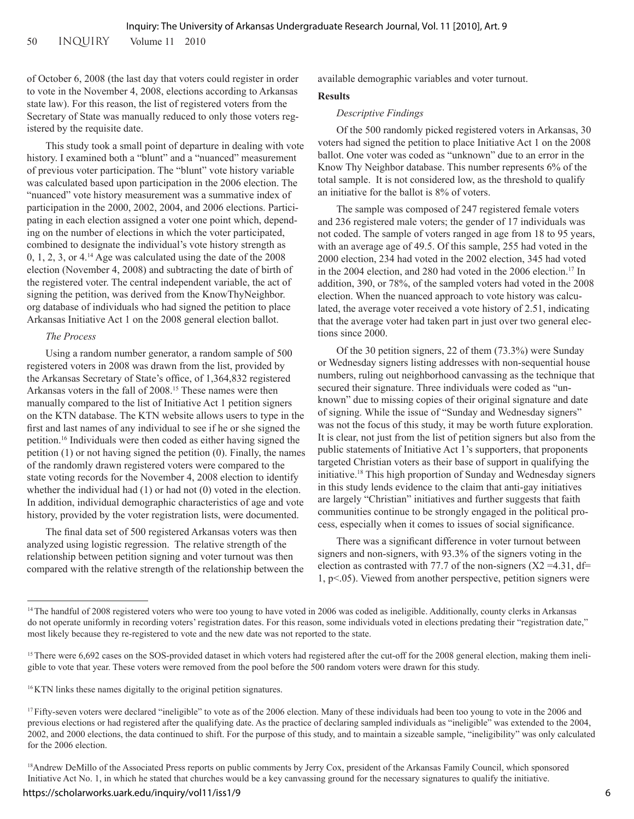of October 6, 2008 (the last day that voters could register in order to vote in the November 4, 2008, elections according to Arkansas state law). For this reason, the list of registered voters from the Secretary of State was manually reduced to only those voters registered by the requisite date.

This study took a small point of departure in dealing with vote history. I examined both a "blunt" and a "nuanced" measurement of previous voter participation. The "blunt" vote history variable was calculated based upon participation in the 2006 election. The "nuanced" vote history measurement was a summative index of participation in the 2000, 2002, 2004, and 2006 elections. Participating in each election assigned a voter one point which, depending on the number of elections in which the voter participated, combined to designate the individual's vote history strength as 0, 1, 2, 3, or 4.14 Age was calculated using the date of the 2008 election (November 4, 2008) and subtracting the date of birth of the registered voter. The central independent variable, the act of signing the petition, was derived from the KnowThyNeighbor. org database of individuals who had signed the petition to place Arkansas Initiative Act 1 on the 2008 general election ballot.

## *The Process*

Using a random number generator, a random sample of 500 registered voters in 2008 was drawn from the list, provided by the Arkansas Secretary of State's office, of 1,364,832 registered Arkansas voters in the fall of 2008.15 These names were then manually compared to the list of Initiative Act 1 petition signers on the KTN database. The KTN website allows users to type in the first and last names of any individual to see if he or she signed the petition.16 Individuals were then coded as either having signed the petition (1) or not having signed the petition (0). Finally, the names of the randomly drawn registered voters were compared to the state voting records for the November 4, 2008 election to identify whether the individual had (1) or had not (0) voted in the election. In addition, individual demographic characteristics of age and vote history, provided by the voter registration lists, were documented.

The final data set of 500 registered Arkansas voters was then analyzed using logistic regression. The relative strength of the relationship between petition signing and voter turnout was then compared with the relative strength of the relationship between the available demographic variables and voter turnout.

#### **Results**

#### *Descriptive Findings*

Of the 500 randomly picked registered voters in Arkansas, 30 voters had signed the petition to place Initiative Act 1 on the 2008 ballot. One voter was coded as "unknown" due to an error in the Know Thy Neighbor database. This number represents 6% of the total sample. It is not considered low, as the threshold to qualify an initiative for the ballot is 8% of voters.

The sample was composed of 247 registered female voters and 236 registered male voters; the gender of 17 individuals was not coded. The sample of voters ranged in age from 18 to 95 years, with an average age of 49.5. Of this sample, 255 had voted in the 2000 election, 234 had voted in the 2002 election, 345 had voted in the 2004 election, and 280 had voted in the 2006 election.17 In addition, 390, or 78%, of the sampled voters had voted in the 2008 election. When the nuanced approach to vote history was calculated, the average voter received a vote history of 2.51, indicating that the average voter had taken part in just over two general elections since 2000.

Of the 30 petition signers, 22 of them (73.3%) were Sunday or Wednesday signers listing addresses with non-sequential house numbers, ruling out neighborhood canvassing as the technique that secured their signature. Three individuals were coded as "unknown" due to missing copies of their original signature and date of signing. While the issue of "Sunday and Wednesday signers" was not the focus of this study, it may be worth future exploration. It is clear, not just from the list of petition signers but also from the public statements of Initiative Act 1's supporters, that proponents targeted Christian voters as their base of support in qualifying the initiative.18 This high proportion of Sunday and Wednesday signers in this study lends evidence to the claim that anti-gay initiatives are largely "Christian" initiatives and further suggests that faith communities continue to be strongly engaged in the political process, especially when it comes to issues of social significance.

There was a significant difference in voter turnout between signers and non-signers, with 93.3% of the signers voting in the election as contrasted with 77.7 of the non-signers  $(X2 = 4.31, df =$ 1, p<.05). Viewed from another perspective, petition signers were

<sup>16</sup> KTN links these names digitally to the original petition signatures.

<sup>&</sup>lt;sup>14</sup> The handful of 2008 registered voters who were too young to have voted in 2006 was coded as ineligible. Additionally, county clerks in Arkansas do not operate uniformly in recording voters' registration dates. For this reason, some individuals voted in elections predating their "registration date," most likely because they re-registered to vote and the new date was not reported to the state.

<sup>&</sup>lt;sup>15</sup> There were 6,692 cases on the SOS-provided dataset in which voters had registered after the cut-off for the 2008 general election, making them ineligible to vote that year. These voters were removed from the pool before the 500 random voters were drawn for this study.

<sup>&</sup>lt;sup>17</sup> Fifty-seven voters were declared "ineligible" to vote as of the 2006 election. Many of these individuals had been too young to vote in the 2006 and previous elections or had registered after the qualifying date. As the practice of declaring sampled individuals as "ineligible" was extended to the 2004, 2002, and 2000 elections, the data continued to shift. For the purpose of this study, and to maintain a sizeable sample, "ineligibility" was only calculated for the 2006 election.

<sup>&</sup>lt;sup>18</sup>Andrew DeMillo of the Associated Press reports on public comments by Jerry Cox, president of the Arkansas Family Council, which sponsored Initiative Act No. 1, in which he stated that churches would be a key canvassing ground for the necessary signatures to qualify the initiative.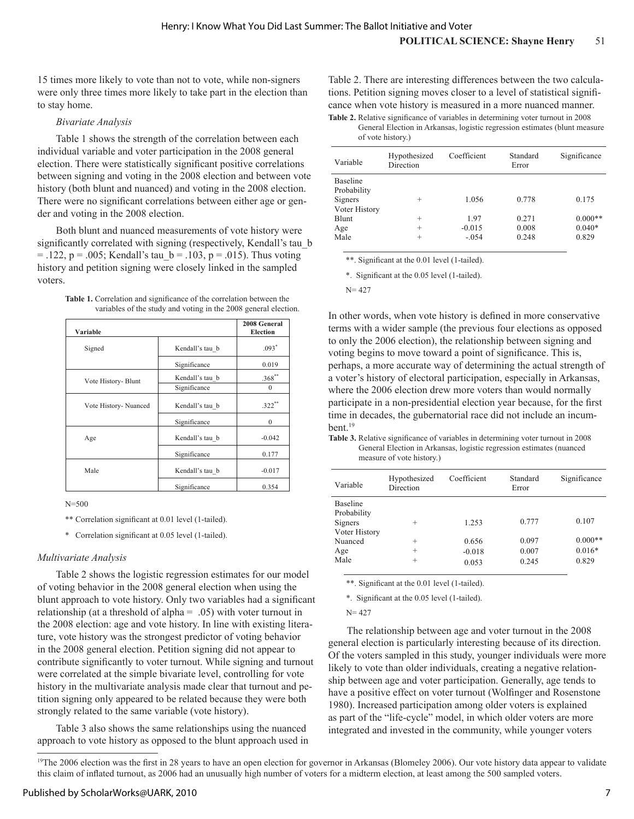15 times more likely to vote than not to vote, while non-signers were only three times more likely to take part in the election than to stay home.

#### *Bivariate Analysis*

Table 1 shows the strength of the correlation between each individual variable and voter participation in the 2008 general election. There were statistically significant positive correlations between signing and voting in the 2008 election and between vote history (both blunt and nuanced) and voting in the 2008 election. There were no significant correlations between either age or gender and voting in the 2008 election.

Both blunt and nuanced measurements of vote history were significantly correlated with signing (respectively, Kendall's tau\_b  $=$  .122, p = .005; Kendall's tau  $b = .103$ , p = .015). Thus voting history and petition signing were closely linked in the sampled voters.

| <b>Table 1.</b> Correlation and significance of the correlation between the |  |
|-----------------------------------------------------------------------------|--|
| variables of the study and voting in the 2008 general election.             |  |

| Variable              |                 | 2008 General<br><b>Election</b> |
|-----------------------|-----------------|---------------------------------|
| Signed                | Kendall's tau b | $.093*$                         |
|                       | Significance    | 0.019                           |
| Vote History- Blunt   | Kendall's tau b | $.368**$                        |
|                       | Significance    | $\Omega$                        |
| Vote History- Nuanced | Kendall's tau b | $.322$ **                       |
|                       | Significance    | $\Omega$                        |
| Age                   | Kendall's tau b | $-0.042$                        |
|                       | Significance    | 0.177                           |
| Male                  | Kendall's tau b | $-0.017$                        |
|                       | Significance    | 0.354                           |

 $N = 500$ 

\*\* Correlation significant at 0.01 level (1-tailed).

\* Correlation significant at 0.05 level (1-tailed).

## *Multivariate Analysis*

Table 2 shows the logistic regression estimates for our model of voting behavior in the 2008 general election when using the blunt approach to vote history. Only two variables had a significant relationship (at a threshold of alpha = .05) with voter turnout in the 2008 election: age and vote history. In line with existing literature, vote history was the strongest predictor of voting behavior in the 2008 general election. Petition signing did not appear to contribute significantly to voter turnout. While signing and turnout were correlated at the simple bivariate level, controlling for vote history in the multivariate analysis made clear that turnout and petition signing only appeared to be related because they were both strongly related to the same variable (vote history).

Table 3 also shows the same relationships using the nuanced approach to vote history as opposed to the blunt approach used in

Table 2. There are interesting differences between the two calculations. Petition signing moves closer to a level of statistical significance when vote history is measured in a more nuanced manner. **Table 2.** Relative significance of variables in determining voter turnout in 2008

General Election in Arkansas, logistic regression estimates (blunt measure of vote history.)

| Variable                                     | Hypothesized<br>Direction  | Coefficient                 | Standard<br>Error       | Significance                   |
|----------------------------------------------|----------------------------|-----------------------------|-------------------------|--------------------------------|
| <b>Baseline</b><br>Probability<br>Signers    | $^{+}$                     | 1.056                       | 0.778                   | 0.175                          |
| Voter History<br><b>Blunt</b><br>Age<br>Male | $^{+}$<br>$^{+}$<br>$^{+}$ | 1.97<br>$-0.015$<br>$-.054$ | 0.271<br>0.008<br>0.248 | $0.000**$<br>$0.040*$<br>0.829 |

\*\*. Significant at the 0.01 level (1-tailed).

\*. Significant at the 0.05 level (1-tailed).

 $N = 427$ 

In other words, when vote history is defined in more conservative terms with a wider sample (the previous four elections as opposed to only the 2006 election), the relationship between signing and voting begins to move toward a point of significance. This is, perhaps, a more accurate way of determining the actual strength of a voter's history of electoral participation, especially in Arkansas, where the 2006 election drew more voters than would normally participate in a non-presidential election year because, for the first time in decades, the gubernatorial race did not include an incumbent.19

**Table 3.** Relative significance of variables in determining voter turnout in 2008 General Election in Arkansas, logistic regression estimates (nuanced measure of vote history.)

| Variable        | Hypothesized<br>Direction | Coefficient | Standard<br>Error | Significance |
|-----------------|---------------------------|-------------|-------------------|--------------|
| <b>Baseline</b> |                           |             |                   |              |
| Probability     |                           |             |                   |              |
| Signers         | $^{+}$                    | 1.253       | 0.777             | 0.107        |
| Voter History   |                           |             |                   |              |
| Nuanced         | $^{+}$                    | 0.656       | 0.097             | $0.000**$    |
| Age             | $^{+}$                    | $-0.018$    | 0.007             | $0.016*$     |
| Male            | $^{+}$                    | 0.053       | 0.245             | 0.829        |
|                 |                           |             |                   |              |

\*\*. Significant at the 0.01 level (1-tailed).

\*. Significant at the 0.05 level (1-tailed).

 $N = 427$ 

The relationship between age and voter turnout in the 2008 general election is particularly interesting because of its direction. Of the voters sampled in this study, younger individuals were more likely to vote than older individuals, creating a negative relationship between age and voter participation. Generally, age tends to have a positive effect on voter turnout (Wolfinger and Rosenstone 1980). Increased participation among older voters is explained as part of the "life-cycle" model, in which older voters are more integrated and invested in the community, while younger voters

<sup>19</sup>The 2006 election was the first in 28 years to have an open election for governor in Arkansas (Blomeley 2006). Our vote history data appear to validate this claim of inflated turnout, as 2006 had an unusually high number of voters for a midterm election, at least among the 500 sampled voters.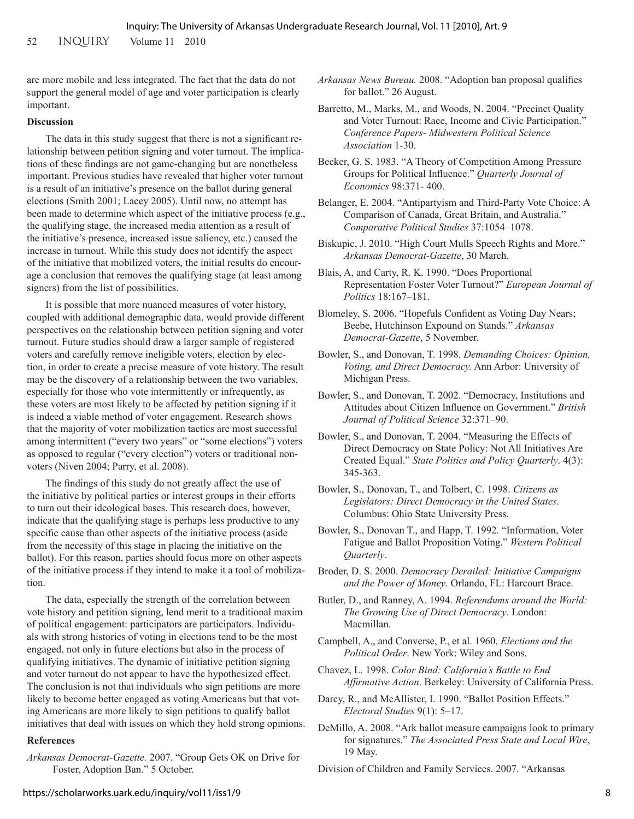are more mobile and less integrated. The fact that the data do not support the general model of age and voter participation is clearly important.

#### **Discussion**

The data in this study suggest that there is not a significant relationship between petition signing and voter turnout. The implications of these findings are not game-changing but are nonetheless important. Previous studies have revealed that higher voter turnout is a result of an initiative's presence on the ballot during general elections (Smith 2001; Lacey 2005). Until now, no attempt has been made to determine which aspect of the initiative process (e.g., the qualifying stage, the increased media attention as a result of the initiative's presence, increased issue saliency, etc.) caused the increase in turnout. While this study does not identify the aspect of the initiative that mobilized voters, the initial results do encourage a conclusion that removes the qualifying stage (at least among signers) from the list of possibilities.

It is possible that more nuanced measures of voter history, coupled with additional demographic data, would provide different perspectives on the relationship between petition signing and voter turnout. Future studies should draw a larger sample of registered voters and carefully remove ineligible voters, election by election, in order to create a precise measure of vote history. The result may be the discovery of a relationship between the two variables, especially for those who vote intermittently or infrequently, as these voters are most likely to be affected by petition signing if it is indeed a viable method of voter engagement. Research shows that the majority of voter mobilization tactics are most successful among intermittent ("every two years" or "some elections") voters as opposed to regular ("every election") voters or traditional nonvoters (Niven 2004; Parry, et al. 2008).

The findings of this study do not greatly affect the use of the initiative by political parties or interest groups in their efforts to turn out their ideological bases. This research does, however, indicate that the qualifying stage is perhaps less productive to any specific cause than other aspects of the initiative process (aside from the necessity of this stage in placing the initiative on the ballot). For this reason, parties should focus more on other aspects of the initiative process if they intend to make it a tool of mobilization.

The data, especially the strength of the correlation between vote history and petition signing, lend merit to a traditional maxim of political engagement: participators are participators. Individuals with strong histories of voting in elections tend to be the most engaged, not only in future elections but also in the process of qualifying initiatives. The dynamic of initiative petition signing and voter turnout do not appear to have the hypothesized effect. The conclusion is not that individuals who sign petitions are more likely to become better engaged as voting Americans but that voting Americans are more likely to sign petitions to qualify ballot initiatives that deal with issues on which they hold strong opinions.

#### **References**

*Arkansas Democrat-Gazette.* 2007. "Group Gets OK on Drive for Foster, Adoption Ban." 5 October.

- *Arkansas News Bureau.* 2008. "Adoption ban proposal qualifies for ballot." 26 August.
- Barretto, M., Marks, M., and Woods, N. 2004. "Precinct Quality and Voter Turnout: Race, Income and Civic Participation." *Conference Papers- Midwestern Political Science Association* 1-30.
- Becker, G. S. 1983. "A Theory of Competition Among Pressure Groups for Political Influence." *Quarterly Journal of Economics* 98:371- 400.
- Belanger, E. 2004. "Antipartyism and Third-Party Vote Choice: A Comparison of Canada, Great Britain, and Australia." *Comparative Political Studies* 37:1054–1078.
- Biskupic, J. 2010. "High Court Mulls Speech Rights and More." *Arkansas Democrat-Gazette*, 30 March.
- Blais, A, and Carty, R. K. 1990. "Does Proportional Representation Foster Voter Turnout?" *European Journal of Politics* 18:167–181.
- Blomeley, S. 2006. "Hopefuls Confident as Voting Day Nears; Beebe, Hutchinson Expound on Stands." *Arkansas Democrat-Gazette*, 5 November.
- Bowler, S., and Donovan, T. 1998. *Demanding Choices: Opinion, Voting, and Direct Democracy.* Ann Arbor: University of Michigan Press.
- Bowler, S., and Donovan, T. 2002. "Democracy, Institutions and Attitudes about Citizen Influence on Government." *British Journal of Political Science* 32:371–90.
- Bowler, S., and Donovan, T. 2004. "Measuring the Effects of Direct Democracy on State Policy: Not All Initiatives Are Created Equal." *State Politics and Policy Quarterly*. 4(3): 345-363.
- Bowler, S., Donovan, T., and Tolbert, C. 1998. *Citizens as Legislators: Direct Democracy in the United States*. Columbus: Ohio State University Press.
- Bowler, S., Donovan T., and Happ, T. 1992. "Information, Voter Fatigue and Ballot Proposition Voting." *Western Political Quarterly*.
- Broder, D. S. 2000. *Democracy Derailed: Initiative Campaigns and the Power of Money*. Orlando, FL: Harcourt Brace.
- Butler, D., and Ranney, A. 1994. *Referendums around the World: The Growing Use of Direct Democracy*. London: Macmillan.
- Campbell, A., and Converse, P., et al. 1960. *Elections and the Political Order*. New York: Wiley and Sons.
- Chavez, L. 1998. *Color Bind: California's Battle to End Affirmative Action*. Berkeley: University of California Press.
- Darcy, R., and McAllister, I. 1990. "Ballot Position Effects." *Electoral Studies* 9(1): 5–17.
- DeMillo, A. 2008. "Ark ballot measure campaigns look to primary for signatures." *The Associated Press State and Local Wire*, 19 May.
- Division of Children and Family Services. 2007. "Arkansas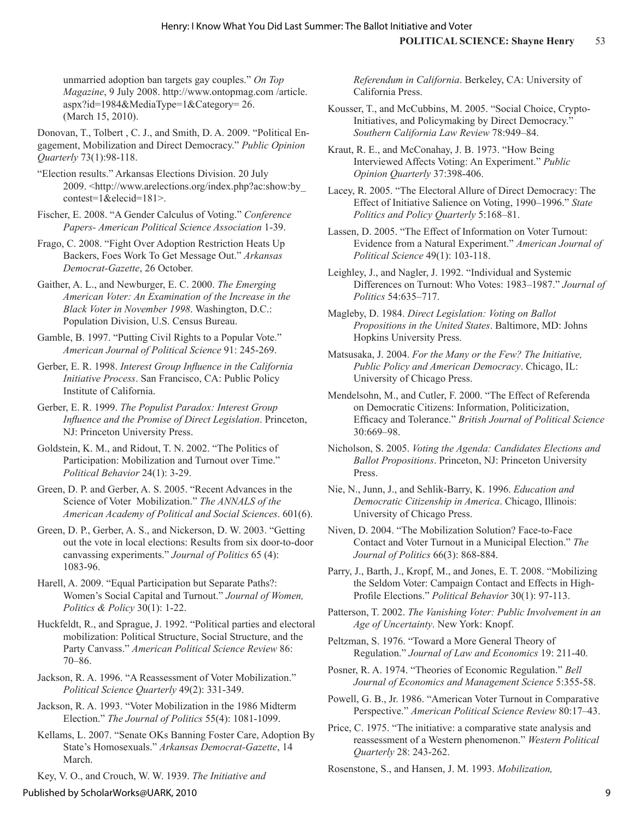unmarried adoption ban targets gay couples." *On Top Magazine*, 9 July 2008. http://www.ontopmag.com /article. aspx?id=1984&MediaType=1&Category= 26. (March 15, 2010).

Donovan, T., Tolbert , C. J., and Smith, D. A. 2009. "Political Engagement, Mobilization and Direct Democracy." *Public Opinion Quarterly* 73(1):98-118.

"Election results." Arkansas Elections Division. 20 July 2009. <http://www.arelections.org/index.php?ac:show:by\_ contest=1&elecid=181>.

Fischer, E. 2008. "A Gender Calculus of Voting." *Conference Papers- American Political Science Association* 1-39.

Frago, C. 2008. "Fight Over Adoption Restriction Heats Up Backers, Foes Work To Get Message Out." *Arkansas Democrat-Gazette*, 26 October.

Gaither, A. L., and Newburger, E. C. 2000. *The Emerging American Voter: An Examination of the Increase in the Black Voter in November 1998*. Washington, D.C.: Population Division, U.S. Census Bureau.

Gamble, B. 1997. "Putting Civil Rights to a Popular Vote." *American Journal of Political Science* 91: 245-269.

Gerber, E. R. 1998. *Interest Group Influence in the California Initiative Process*. San Francisco, CA: Public Policy Institute of California.

Gerber, E. R. 1999. *The Populist Paradox: Interest Group Influence and the Promise of Direct Legislation*. Princeton, NJ: Princeton University Press.

Goldstein, K. M., and Ridout, T. N. 2002. "The Politics of Participation: Mobilization and Turnout over Time." *Political Behavior* 24(1): 3-29.

Green, D. P. and Gerber, A. S. 2005. "Recent Advances in the Science of Voter Mobilization." *The ANNALS of the American Academy of Political and Social Sciences*. 601(6).

Green, D. P., Gerber, A. S., and Nickerson, D. W. 2003. "Getting out the vote in local elections: Results from six door-to-door canvassing experiments." *Journal of Politics* 65 (4): 1083-96.

Harell, A. 2009. "Equal Participation but Separate Paths?: Women's Social Capital and Turnout." *Journal of Women, Politics & Policy* 30(1): 1-22.

Huckfeldt, R., and Sprague, J. 1992. "Political parties and electoral mobilization: Political Structure, Social Structure, and the Party Canvass." *American Political Science Review* 86: 70–86.

Jackson, R. A. 1996. "A Reassessment of Voter Mobilization." *Political Science Quarterly* 49(2): 331-349.

Jackson, R. A. 1993. "Voter Mobilization in the 1986 Midterm Election." *The Journal of Politics* 55(4): 1081-1099.

Kellams, L. 2007. "Senate OKs Banning Foster Care, Adoption By State's Homosexuals." *Arkansas Democrat-Gazette*, 14 March.

Key, V. O., and Crouch, W. W. 1939. *The Initiative and* 

*Referendum in California*. Berkeley, CA: University of California Press.

Kousser, T., and McCubbins, M. 2005. "Social Choice, Crypto-Initiatives, and Policymaking by Direct Democracy." *Southern California Law Review* 78:949–84.

Kraut, R. E., and McConahay, J. B. 1973. "How Being Interviewed Affects Voting: An Experiment." *Public Opinion Quarterly* 37:398-406.

Lacey, R. 2005. "The Electoral Allure of Direct Democracy: The Effect of Initiative Salience on Voting, 1990–1996." *State Politics and Policy Quarterly* 5:168–81.

Lassen, D. 2005. "The Effect of Information on Voter Turnout: Evidence from a Natural Experiment." *American Journal of Political Science* 49(1): 103-118.

Leighley, J., and Nagler, J. 1992. "Individual and Systemic Differences on Turnout: Who Votes: 1983–1987." *Journal of Politics* 54:635–717.

Magleby, D. 1984. *Direct Legislation: Voting on Ballot Propositions in the United States*. Baltimore, MD: Johns Hopkins University Press.

Matsusaka, J. 2004. *For the Many or the Few? The Initiative, Public Policy and American Democracy*. Chicago, IL: University of Chicago Press.

Mendelsohn, M., and Cutler, F. 2000. "The Effect of Referenda on Democratic Citizens: Information, Politicization, Efficacy and Tolerance." *British Journal of Political Science* 30:669–98.

Nicholson, S. 2005. *Voting the Agenda: Candidates Elections and Ballot Propositions*. Princeton, NJ: Princeton University Press.

Nie, N., Junn, J., and Sehlik-Barry, K. 1996. *Education and Democratic Citizenship in America*. Chicago, Illinois: University of Chicago Press.

Niven, D. 2004. "The Mobilization Solution? Face-to-Face Contact and Voter Turnout in a Municipal Election." *The Journal of Politics* 66(3): 868-884.

Parry, J., Barth, J., Kropf, M., and Jones, E. T. 2008. "Mobilizing the Seldom Voter: Campaign Contact and Effects in High-Profile Elections." *Political Behavior* 30(1): 97-113.

Patterson, T. 2002. *The Vanishing Voter: Public Involvement in an Age of Uncertainty*. New York: Knopf.

Peltzman, S. 1976. "Toward a More General Theory of Regulation." *Journal of Law and Economics* 19: 211-40.

Posner, R. A. 1974. "Theories of Economic Regulation." *Bell Journal of Economics and Management Science* 5:355-58.

Powell, G. B., Jr. 1986. "American Voter Turnout in Comparative Perspective." *American Political Science Review* 80:17–43.

Price, C. 1975. "The initiative: a comparative state analysis and reassessment of a Western phenomenon." *Western Political Quarterly* 28: 243-262.

Rosenstone, S., and Hansen, J. M. 1993. *Mobilization,*